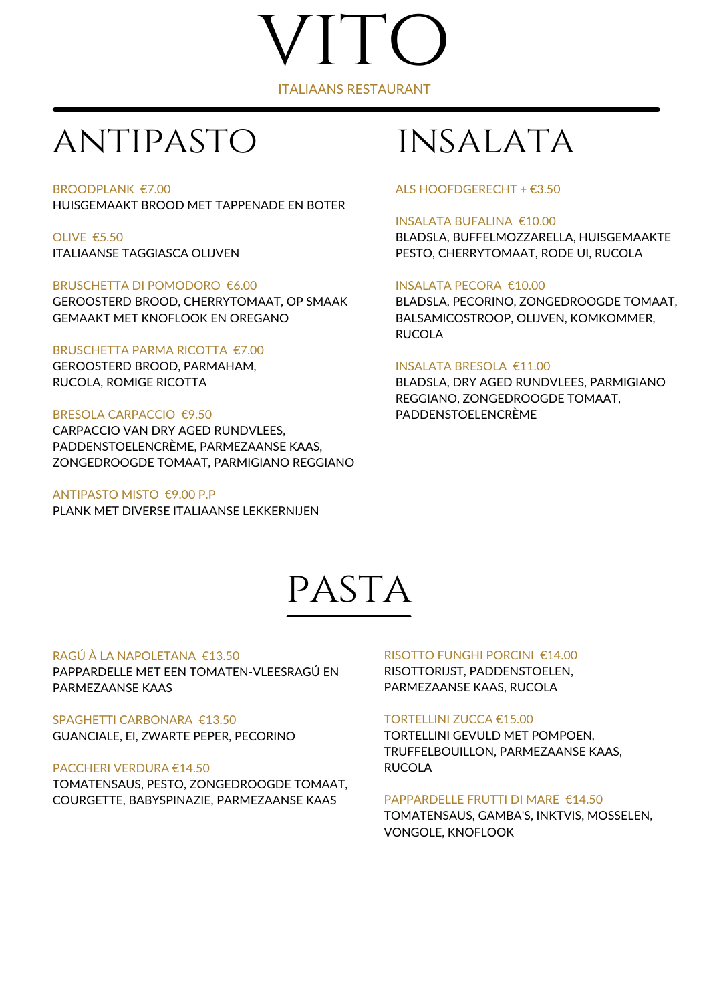# ITO ITALIAANS RESTAURANT

### antipasto insalata

#### BROODPLANK €7.00 HUISGEMAAKT BROOD MET TAPPENADE EN BOTER

OLIVE €5.50 ITALIAANSE TAGGIASCA OLIJVEN

#### BRUSCHETTA DI POMODORO €6.00

GEROOSTERD BROOD, CHERRYTOMAAT, OP SMAAK GEMAAKT MET KNOFLOOK EN OREGANO

#### BRUSCHETTA PARMA RICOTTA €7.00

GEROOSTERD BROOD, PARMAHAM, RUCOLA, ROMIGE RICOTTA

#### BRESOLA CARPACCIO €9.50

CARPACCIO VAN DRY AGED RUNDVLEES, PADDENSTOELENCRÈME, PARMEZAANSE KAAS, ZONGEDROOGDE TOMAAT, PARMIGIANO REGGIANO

#### ANTIPASTO MISTO €9.00 P.P

PLANK MET DIVERSE ITALIAANSE LEKKERNIJEN

#### ALS HOOFDGERECHT + €3.50

#### INSALATA BUFALINA €10.00

BLADSLA, BUFFELMOZZARELLA, HUISGEMAAKTE PESTO, CHERRYTOMAAT, RODE UI, RUCOLA

#### INSALATA PECORA €10.00

BLADSLA, PECORINO, ZONGEDROOGDE TOMAAT, BALSAMICOSTROOP, OLIJVEN, KOMKOMMER, RUCOLA

#### INSALATA BRESOLA €11.00

BLADSLA, DRY AGED RUNDVLEES, PARMIGIANO REGGIANO, ZONGEDROOGDE TOMAAT, PADDENSTOELENCRÈME

### PASTA

#### RAGÚ À LA NAPOLETANA €13.50

PAPPARDELLE MET EEN TOMATEN-VLEESRAGÚ EN PARMEZAANSE KAAS

SPAGHETTI CARBONARA €13.50 GUANCIALE, EI, ZWARTE PEPER, PECORINO

#### PACCHERI VERDURA €14.50

TOMATENSAUS, PESTO, ZONGEDROOGDE TOMAAT, COURGETTE, BABYSPINAZIE, PARMEZAANSE KAAS

#### RISOTTO FUNGHI PORCINI €14.00

RISOTTORIJST, PADDENSTOELEN, PARMEZAANSE KAAS, RUCOLA

#### TORTELLINI ZUCCA €15.00

TORTELLINI GEVULD MET POMPOEN, TRUFFELBOUILLON, PARMEZAANSE KAAS, RUCOLA

#### PAPPARDELLE FRUTTI DI MARE €14.50

TOMATENSAUS, GAMBA'S, INKTVIS, MOSSELEN, VONGOLE, KNOFLOOK